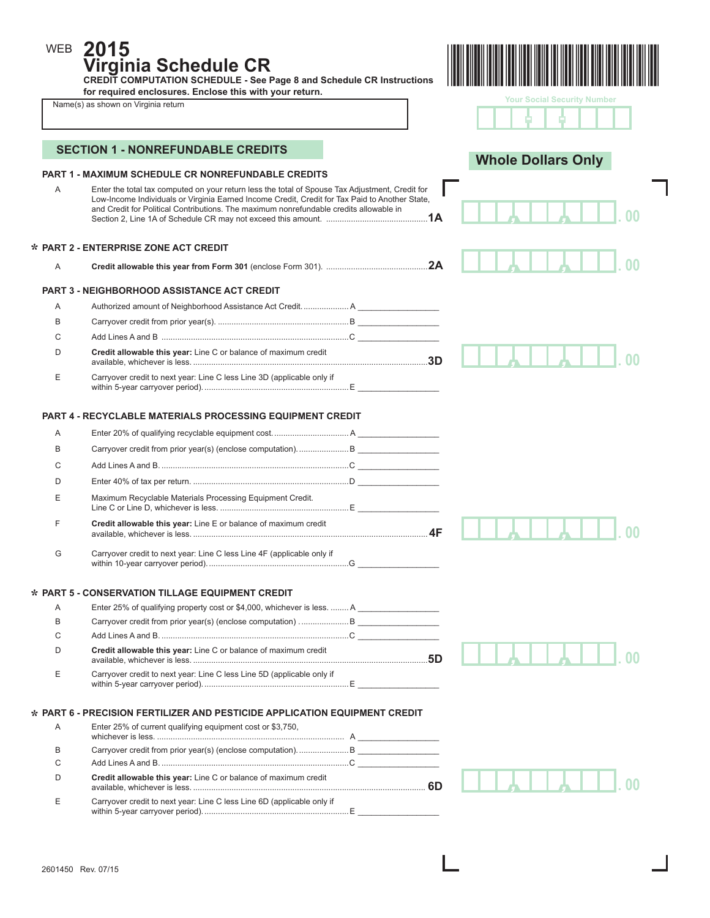**2015 Virginia Schedule CR** 

**CREDIT COMPUTATION SCHEDULE - See Page 8 and Schedule CR Instructions for required enclosures. Enclose this with your return.** 

|  | Name(s) as shown on Virginia return |  |  |  |
|--|-------------------------------------|--|--|--|
|--|-------------------------------------|--|--|--|

WEB



| <b>Your Social Security Number</b> |  |  |
|------------------------------------|--|--|
|                                    |  |  |

 $\overline{\phantom{a}}$ 

|        | <b>PART 1 - MAXIMUM SCHEDULE CR NONREFUNDABLE CREDITS</b>                                                                                                                                                                                                                                   | <b>Whole Dollars Only</b> |  |
|--------|---------------------------------------------------------------------------------------------------------------------------------------------------------------------------------------------------------------------------------------------------------------------------------------------|---------------------------|--|
| Α      | Enter the total tax computed on your return less the total of Spouse Tax Adjustment, Credit for<br>Low-Income Individuals or Virginia Earned Income Credit, Credit for Tax Paid to Another State,<br>and Credit for Political Contributions. The maximum nonrefundable credits allowable in |                           |  |
|        | * PART 2 - ENTERPRISE ZONE ACT CREDIT                                                                                                                                                                                                                                                       |                           |  |
| Α      |                                                                                                                                                                                                                                                                                             |                           |  |
|        | <b>PART 3 - NEIGHBORHOOD ASSISTANCE ACT CREDIT</b>                                                                                                                                                                                                                                          |                           |  |
| Α      | Authorized amount of Neighborhood Assistance Act Credit.  A                                                                                                                                                                                                                                 |                           |  |
| Β      |                                                                                                                                                                                                                                                                                             |                           |  |
| C      |                                                                                                                                                                                                                                                                                             |                           |  |
| D      | Credit allowable this year: Line C or balance of maximum credit                                                                                                                                                                                                                             |                           |  |
| Е      | Carryover credit to next year: Line C less Line 3D (applicable only if                                                                                                                                                                                                                      |                           |  |
|        | <b>PART 4 - RECYCLABLE MATERIALS PROCESSING EQUIPMENT CREDIT</b>                                                                                                                                                                                                                            |                           |  |
| A      |                                                                                                                                                                                                                                                                                             |                           |  |
| B      |                                                                                                                                                                                                                                                                                             |                           |  |
| C      |                                                                                                                                                                                                                                                                                             |                           |  |
| D      |                                                                                                                                                                                                                                                                                             |                           |  |
|        |                                                                                                                                                                                                                                                                                             |                           |  |
| Ε      | Maximum Recyclable Materials Processing Equipment Credit.                                                                                                                                                                                                                                   |                           |  |
| F      | Credit allowable this year: Line E or balance of maximum credit                                                                                                                                                                                                                             |                           |  |
| G      | Carryover credit to next year: Line C less Line 4F (applicable only if                                                                                                                                                                                                                      |                           |  |
|        |                                                                                                                                                                                                                                                                                             |                           |  |
|        | * PART 5 - CONSERVATION TILLAGE EQUIPMENT CREDIT                                                                                                                                                                                                                                            |                           |  |
| Α      | Enter 25% of qualifying property cost or \$4,000, whichever is less.  A                                                                                                                                                                                                                     |                           |  |
| B      |                                                                                                                                                                                                                                                                                             |                           |  |
| С<br>n | Credit allowable this year: Line C or balance of maximum credit                                                                                                                                                                                                                             |                           |  |
| Ε      | Carryover credit to next year: Line C less Line 5D (applicable only if                                                                                                                                                                                                                      |                           |  |
|        |                                                                                                                                                                                                                                                                                             |                           |  |
|        | * PART 6 - PRECISION FERTILIZER AND PESTICIDE APPLICATION EQUIPMENT CREDIT                                                                                                                                                                                                                  |                           |  |
| Α      | Enter 25% of current qualifying equipment cost or \$3,750,                                                                                                                                                                                                                                  |                           |  |
| В      |                                                                                                                                                                                                                                                                                             |                           |  |
| С      |                                                                                                                                                                                                                                                                                             |                           |  |
| D      | Credit allowable this year: Line C or balance of maximum credit                                                                                                                                                                                                                             |                           |  |
| Е      | Carryover credit to next year: Line C less Line 6D (applicable only if                                                                                                                                                                                                                      |                           |  |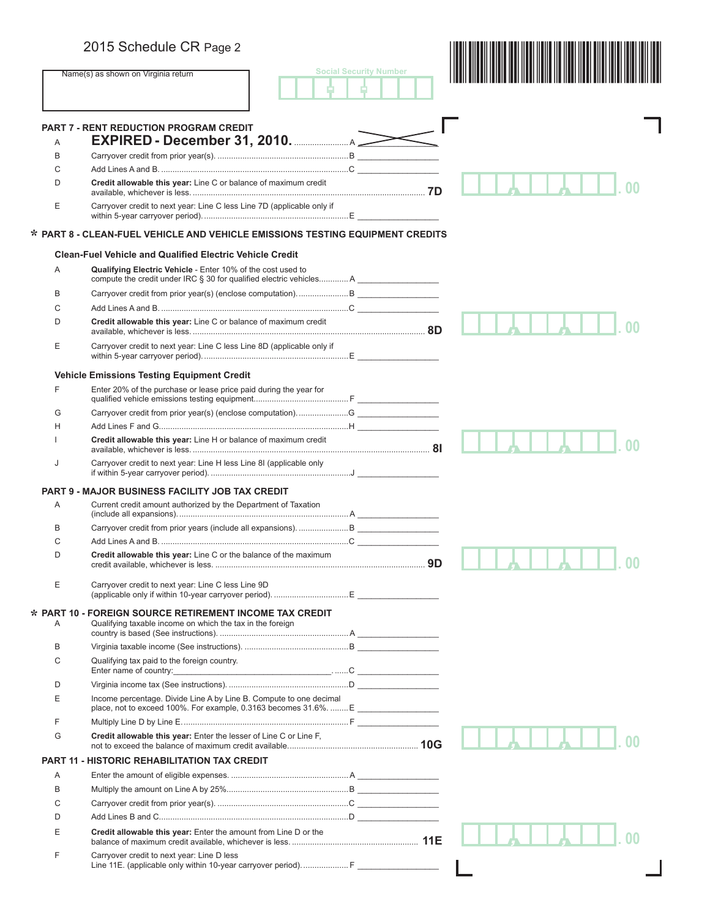|   | 2015 Schedule CR Page 2                                                                                                            |                               |    |
|---|------------------------------------------------------------------------------------------------------------------------------------|-------------------------------|----|
|   | Name(s) as shown on Virginia return                                                                                                | <b>Social Security Number</b> |    |
|   | <b>PART 7 - RENT REDUCTION PROGRAM CREDIT</b>                                                                                      |                               |    |
| A | EXPIRED - December 31, 2010. <u><b>EXPIRED</b></u>                                                                                 |                               |    |
| B |                                                                                                                                    |                               |    |
| C |                                                                                                                                    |                               |    |
| D | Credit allowable this year: Line C or balance of maximum credit                                                                    |                               |    |
| Е | Carryover credit to next year: Line C less Line 7D (applicable only if                                                             |                               |    |
|   | * PART 8 - CLEAN-FUEL VEHICLE AND VEHICLE EMISSIONS TESTING EQUIPMENT CREDITS                                                      |                               |    |
|   | <b>Clean-Fuel Vehicle and Qualified Electric Vehicle Credit</b>                                                                    |                               |    |
| A | Qualifying Electric Vehicle - Enter 10% of the cost used to<br>compute the credit under IRC § 30 for qualified electric vehicles A |                               |    |
| B |                                                                                                                                    |                               |    |
| C |                                                                                                                                    |                               |    |
| D | Credit allowable this year: Line C or balance of maximum credit                                                                    |                               |    |
| E | Carryover credit to next year: Line C less Line 8D (applicable only if                                                             |                               |    |
|   | <b>Vehicle Emissions Testing Equipment Credit</b>                                                                                  |                               |    |
| F | Enter 20% of the purchase or lease price paid during the year for                                                                  |                               |    |
| G |                                                                                                                                    |                               |    |
| н |                                                                                                                                    |                               |    |
|   | Credit allowable this year: Line H or balance of maximum credit                                                                    |                               |    |
| J | Carryover credit to next year: Line H less Line 8I (applicable only                                                                |                               |    |
|   | <b>PART 9 - MAJOR BUSINESS FACILITY JOB TAX CREDIT</b>                                                                             |                               |    |
| A | Current credit amount authorized by the Department of Taxation                                                                     |                               |    |
| B |                                                                                                                                    |                               |    |
| C |                                                                                                                                    |                               |    |
| D | Credit allowable this year: Line C or the balance of the maximum                                                                   |                               |    |
|   |                                                                                                                                    |                               | ΩΩ |
| Ε | Carryover credit to next year: Line C less Line 9D                                                                                 |                               |    |
| Α | $\star$ PART 10 - FOREIGN SOURCE RETIREMENT INCOME TAX CREDIT<br>Qualifying taxable income on which the tax in the foreign         |                               |    |
| B |                                                                                                                                    |                               |    |
| C | Qualifying tax paid to the foreign country.<br>Enter name of country: example and a series of country:                             |                               |    |
| D |                                                                                                                                    |                               |    |
| E | Income percentage. Divide Line A by Line B. Compute to one decimal                                                                 |                               |    |
|   | place, not to exceed 100%. For example, 0.3163 becomes 31.6%.  E                                                                   |                               |    |
| F |                                                                                                                                    |                               |    |
| G | Credit allowable this year: Enter the lesser of Line C or Line F,                                                                  |                               |    |
|   | <b>PART 11 - HISTORIC REHABILITATION TAX CREDIT</b>                                                                                |                               |    |
| Α |                                                                                                                                    |                               |    |
| B |                                                                                                                                    |                               |    |
| С |                                                                                                                                    |                               |    |
| D |                                                                                                                                    |                               |    |
| Е | Credit allowable this year: Enter the amount from Line D or the                                                                    |                               |    |
| F | Carryover credit to next year: Line D less                                                                                         |                               |    |
|   | Line 11E. (applicable only within 10-year carryover period) F                                                                      |                               |    |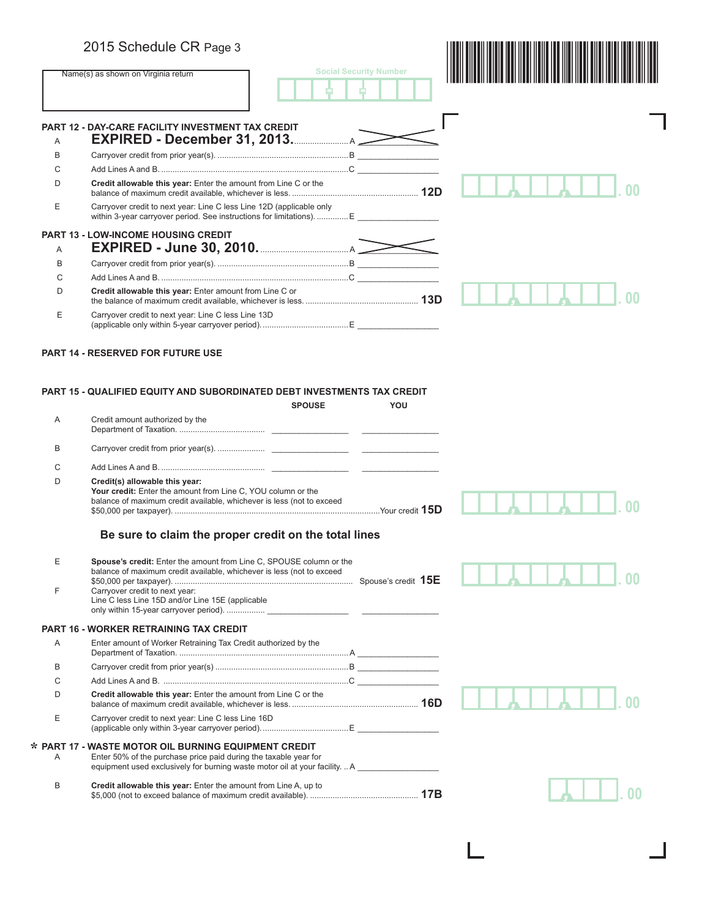**\***

|   | 2015 Schedule CR Page 3                                                                                                                                                 |                               |  |
|---|-------------------------------------------------------------------------------------------------------------------------------------------------------------------------|-------------------------------|--|
|   | Name(s) as shown on Virginia return                                                                                                                                     | <b>Social Security Number</b> |  |
|   | <b>PART 12 - DAY-CARE FACILITY INVESTMENT TAX CREDIT</b>                                                                                                                |                               |  |
| A | <b>EXPIRED - December 31, 2013.</b> 2013.                                                                                                                               |                               |  |
| B |                                                                                                                                                                         |                               |  |
| C |                                                                                                                                                                         |                               |  |
| D | Credit allowable this year: Enter the amount from Line C or the                                                                                                         |                               |  |
| E | Carryover credit to next year: Line C less Line 12D (applicable only<br>within 3-year carryover period. See instructions for limitations).  E _______________           |                               |  |
|   | <b>PART 13 - LOW-INCOME HOUSING CREDIT</b>                                                                                                                              |                               |  |
| A |                                                                                                                                                                         |                               |  |
| B |                                                                                                                                                                         |                               |  |
| C |                                                                                                                                                                         |                               |  |
| D | Credit allowable this year: Enter amount from Line C or                                                                                                                 |                               |  |
| E | Carryover credit to next year: Line C less Line 13D                                                                                                                     |                               |  |
|   | <b>PART 14 - RESERVED FOR FUTURE USE</b><br>PART 15 - QUALIFIED EQUITY AND SUBORDINATED DEBT INVESTMENTS TAX CREDIT                                                     |                               |  |
|   | <b>SPOUSE</b>                                                                                                                                                           | YOU                           |  |
| A | Credit amount authorized by the                                                                                                                                         |                               |  |
| B |                                                                                                                                                                         |                               |  |
| C |                                                                                                                                                                         |                               |  |
| D | Credit(s) allowable this year:<br>Your credit: Enter the amount from Line C, YOU column or the<br>balance of maximum credit available, whichever is less (not to exceed |                               |  |
|   | Be sure to claim the proper credit on the total lines                                                                                                                   |                               |  |

| E<br>F | <b>Spouse's credit:</b> Enter the amount from Line C, SPOUSE column or the<br>balance of maximum credit available, whichever is less (not to exceed<br>Carryover credit to next year:<br>Line C less Line 15D and/or Line 15E (applicable |  |
|--------|-------------------------------------------------------------------------------------------------------------------------------------------------------------------------------------------------------------------------------------------|--|
|        | PART 16 - WORKER RETRAINING TAX CREDIT                                                                                                                                                                                                    |  |
| A      | Enter amount of Worker Retraining Tax Credit authorized by the                                                                                                                                                                            |  |
| B      |                                                                                                                                                                                                                                           |  |
| C      |                                                                                                                                                                                                                                           |  |
| D      | Credit allowable this year: Enter the amount from Line C or the                                                                                                                                                                           |  |
| Е      | Carryover credit to next year: Line C less Line 16D                                                                                                                                                                                       |  |
| A      | PART 17 - WASTE MOTOR OIL BURNING EQUIPMENT CREDIT<br>Enter 50% of the purchase price paid during the taxable year for<br>equipment used exclusively for burning waste motor oil at your facility.  A                                     |  |
| B      | Credit allowable this year: Enter the amount from Line A, up to                                                                                                                                                                           |  |
|        |                                                                                                                                                                                                                                           |  |

L

 $\Box$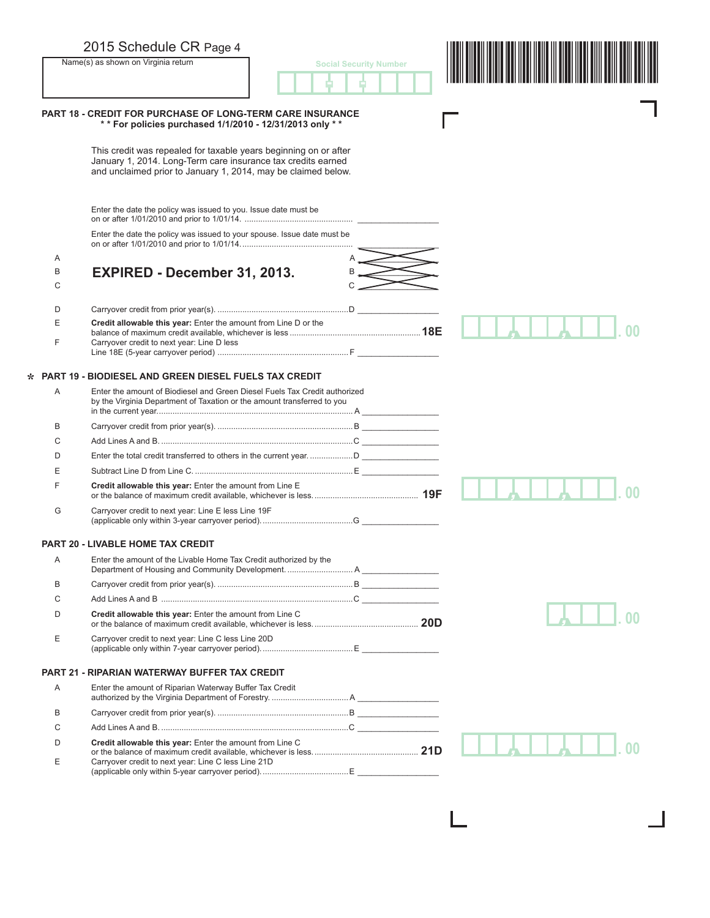|   | 2015 Schedule CR Page 4<br>Name(s) as shown on Virginia return                                                                                                                                    | <b>Social Security Number</b> |  |
|---|---------------------------------------------------------------------------------------------------------------------------------------------------------------------------------------------------|-------------------------------|--|
|   |                                                                                                                                                                                                   |                               |  |
|   | <b>PART 18 - CREDIT FOR PURCHASE OF LONG-TERM CARE INSURANCE</b><br>** For policies purchased 1/1/2010 - 12/31/2013 only **                                                                       |                               |  |
|   | This credit was repealed for taxable years beginning on or after<br>January 1, 2014. Long-Term care insurance tax credits earned<br>and unclaimed prior to January 1, 2014, may be claimed below. |                               |  |
|   | Enter the date the policy was issued to you. Issue date must be                                                                                                                                   |                               |  |
|   | Enter the date the policy was issued to your spouse. Issue date must be                                                                                                                           |                               |  |
| Α |                                                                                                                                                                                                   |                               |  |
| B | EXPIRED - December 31, 2013.                                                                                                                                                                      |                               |  |
| C |                                                                                                                                                                                                   |                               |  |
| D |                                                                                                                                                                                                   |                               |  |
| Ε | Credit allowable this year: Enter the amount from Line D or the                                                                                                                                   |                               |  |
| F | Carryover credit to next year: Line D less                                                                                                                                                        |                               |  |
|   | <b>PART 19 - BIODIESEL AND GREEN DIESEL FUELS TAX CREDIT</b>                                                                                                                                      |                               |  |
| A | Enter the amount of Biodiesel and Green Diesel Fuels Tax Credit authorized<br>by the Virginia Department of Taxation or the amount transferred to you                                             |                               |  |
| B |                                                                                                                                                                                                   |                               |  |
| C |                                                                                                                                                                                                   |                               |  |
| D |                                                                                                                                                                                                   |                               |  |
| E |                                                                                                                                                                                                   |                               |  |
| F | Credit allowable this year: Enter the amount from Line E                                                                                                                                          |                               |  |
| G | Carryover credit to next year: Line E less Line 19F                                                                                                                                               |                               |  |
|   | <b>PART 20 - LIVABLE HOME TAX CREDIT</b>                                                                                                                                                          |                               |  |
| Α | Enter the amount of the Livable Home Tax Credit authorized by the                                                                                                                                 |                               |  |
| B |                                                                                                                                                                                                   |                               |  |
| C |                                                                                                                                                                                                   |                               |  |
| D | Credit allowable this year: Enter the amount from Line C                                                                                                                                          |                               |  |
| Ε | Carryover credit to next year: Line C less Line 20D                                                                                                                                               |                               |  |
|   | PART 21 - RIPARIAN WATERWAY BUFFER TAX CREDIT                                                                                                                                                     |                               |  |
| Α | Enter the amount of Riparian Waterway Buffer Tax Credit                                                                                                                                           |                               |  |
| B |                                                                                                                                                                                                   |                               |  |
| C |                                                                                                                                                                                                   |                               |  |
| D | Credit allowable this year: Enter the amount from Line C                                                                                                                                          |                               |  |
| Ε | Carryover credit to next year: Line C less Line 21D                                                                                                                                               |                               |  |
|   |                                                                                                                                                                                                   |                               |  |

L

 $\Box$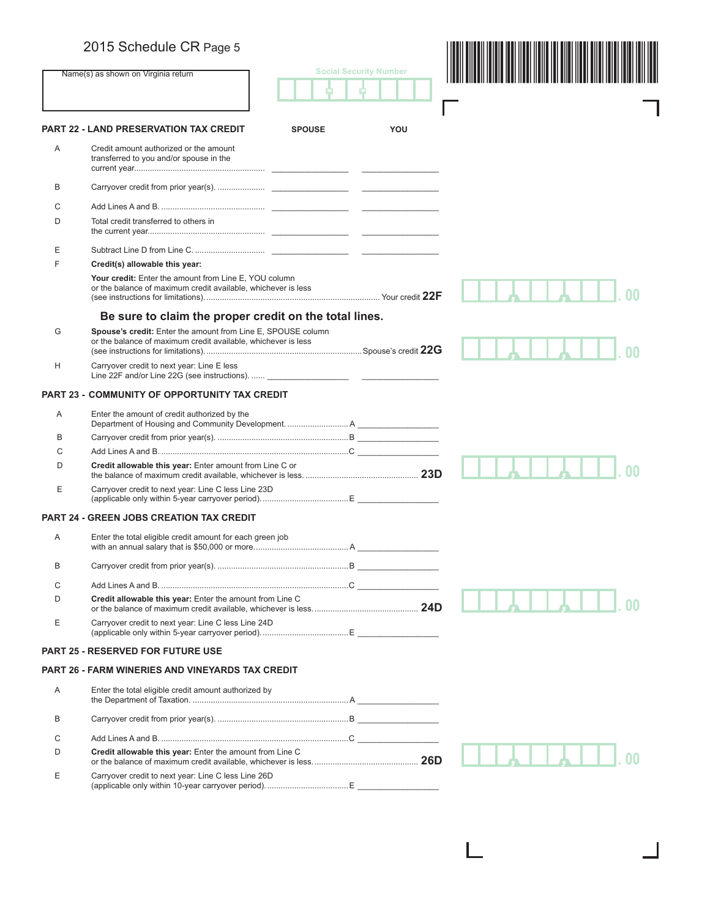|   | 2015 Schedule CR Page 5                                                                                                       |               |                               |  |
|---|-------------------------------------------------------------------------------------------------------------------------------|---------------|-------------------------------|--|
|   | Name(s) as shown on Virginia return                                                                                           |               | <b>Social Security Number</b> |  |
|   |                                                                                                                               |               |                               |  |
|   |                                                                                                                               |               |                               |  |
|   | <b>PART 22 - LAND PRESERVATION TAX CREDIT</b>                                                                                 | <b>SPOUSE</b> | YOU                           |  |
| Α | Credit amount authorized or the amount<br>transferred to you and/or spouse in the                                             |               |                               |  |
| B |                                                                                                                               |               |                               |  |
| С |                                                                                                                               |               |                               |  |
| D | Total credit transferred to others in                                                                                         |               |                               |  |
| Ε |                                                                                                                               |               |                               |  |
| F | Credit(s) allowable this year:                                                                                                |               |                               |  |
|   | Your credit: Enter the amount from Line E, YOU column<br>or the balance of maximum credit available, whichever is less        |               |                               |  |
|   | Be sure to claim the proper credit on the total lines.                                                                        |               |                               |  |
| G | Spouse's credit: Enter the amount from Line E, SPOUSE column<br>or the balance of maximum credit available, whichever is less |               |                               |  |
| Н | Carryover credit to next year: Line E less                                                                                    |               |                               |  |
|   | <b>PART 23 - COMMUNITY OF OPPORTUNITY TAX CREDIT</b>                                                                          |               |                               |  |
| A | Enter the amount of credit authorized by the                                                                                  |               |                               |  |
|   |                                                                                                                               |               |                               |  |
| в |                                                                                                                               |               |                               |  |
| С |                                                                                                                               |               |                               |  |
| D | Credit allowable this year: Enter amount from Line C or                                                                       |               |                               |  |
| E | Carryover credit to next year: Line C less Line 23D                                                                           |               |                               |  |
|   | <b>PART 24 - GREEN JOBS CREATION TAX CREDIT</b>                                                                               |               |                               |  |
| Α | Enter the total eligible credit amount for each green job                                                                     |               |                               |  |
| B |                                                                                                                               |               |                               |  |
| С |                                                                                                                               |               |                               |  |
| D | Credit allowable this vear: Enter the amount from Line C                                                                      |               |                               |  |
| Е | Carryover credit to next year: Line C less Line 24D                                                                           |               |                               |  |
|   | <b>PART 25 - RESERVED FOR FUTURE USE</b>                                                                                      |               |                               |  |
|   | <b>PART 26 - FARM WINERIES AND VINEYARDS TAX CREDIT</b>                                                                       |               |                               |  |
| Α | Enter the total eligible credit amount authorized by                                                                          |               |                               |  |
| B |                                                                                                                               |               |                               |  |
| С |                                                                                                                               |               |                               |  |
| D | Credit allowable this year: Enter the amount from Line C                                                                      |               |                               |  |
| Е | Carryover credit to next year: Line C less Line 26D                                                                           |               |                               |  |
|   |                                                                                                                               |               |                               |  |

1

 $\overline{\phantom{a}}$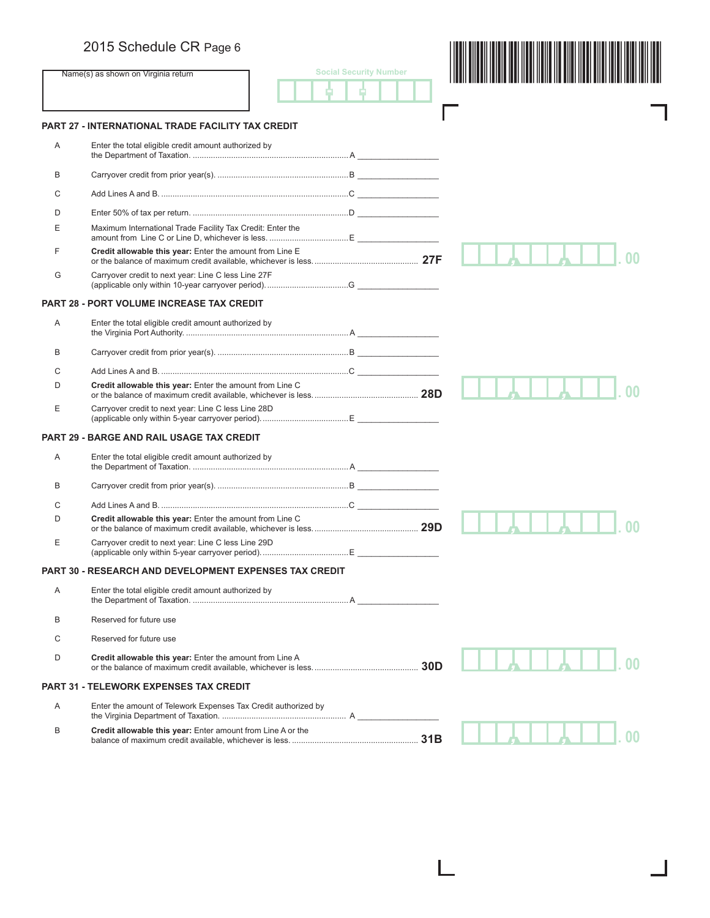# 2015 Schedule CR Page 6

|   | 2015 Schedule CR Page 6                                        |                               |     |        |
|---|----------------------------------------------------------------|-------------------------------|-----|--------|
|   | Name(s) as shown on Virginia return                            | <b>Social Security Number</b> |     |        |
|   |                                                                |                               |     |        |
|   | <b>PART 27 - INTERNATIONAL TRADE FACILITY TAX CREDIT</b>       |                               |     |        |
| Α | Enter the total eligible credit amount authorized by           |                               |     |        |
| B |                                                                |                               |     |        |
| C |                                                                |                               |     |        |
| D |                                                                |                               |     |        |
| Е | Maximum International Trade Facility Tax Credit: Enter the     |                               |     |        |
| F | Credit allowable this year: Enter the amount from Line E       |                               |     |        |
| G | Carryover credit to next year: Line C less Line 27F            |                               |     |        |
|   | <b>PART 28 - PORT VOLUME INCREASE TAX CREDIT</b>               |                               |     |        |
| Α | Enter the total eligible credit amount authorized by           |                               |     |        |
| B |                                                                |                               |     |        |
| C |                                                                |                               |     |        |
| D | Credit allowable this year: Enter the amount from Line C       |                               |     |        |
| Ε | Carryover credit to next year: Line C less Line 28D            |                               |     |        |
|   | <b>PART 29 - BARGE AND RAIL USAGE TAX CREDIT</b>               |                               |     |        |
| A | Enter the total eligible credit amount authorized by           |                               |     |        |
| B |                                                                |                               |     |        |
| C |                                                                |                               |     |        |
| D | Credit allowable this year: Enter the amount from Line C       |                               |     |        |
| Е | Carryover credit to next year: Line C less Line 29D            |                               |     |        |
|   | <b>PART 30 - RESEARCH AND DEVELOPMENT EXPENSES TAX CREDIT</b>  |                               |     |        |
| Α | Enter the total eligible credit amount authorized by           |                               |     |        |
| B | Reserved for future use                                        |                               |     |        |
| C | Reserved for future use                                        |                               |     |        |
| D | Credit allowable this year: Enter the amount from Line A       |                               | 30D |        |
|   | <b>PART 31 - TELEWORK EXPENSES TAX CREDIT</b>                  |                               |     |        |
| Α | Enter the amount of Telework Expenses Tax Credit authorized by |                               |     |        |
| B | Credit allowable this year: Enter amount from Line A or the    |                               |     | $00\,$ |

L

×.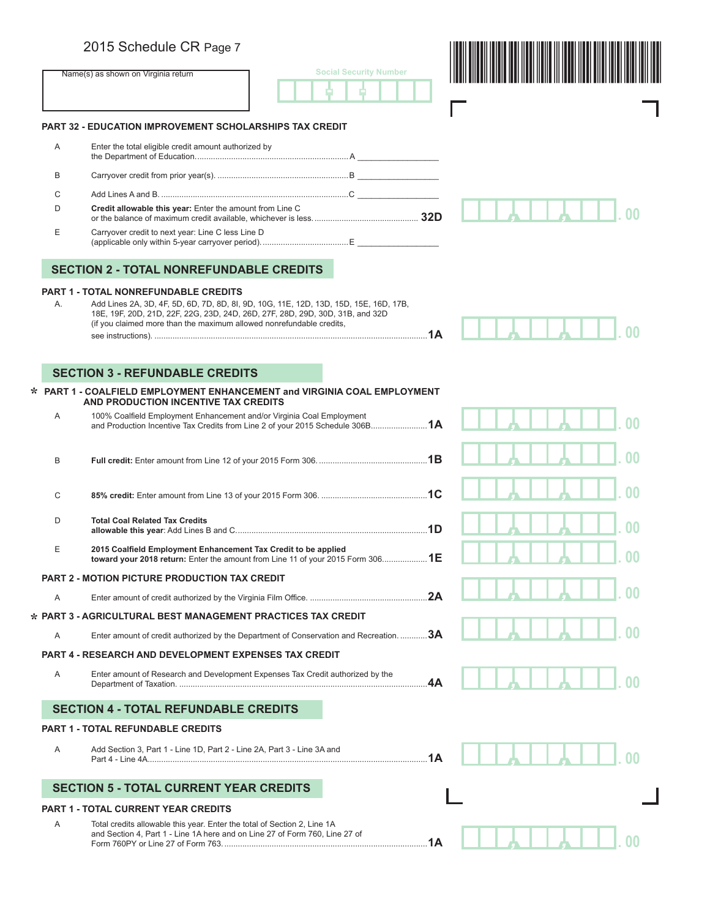## 2015 Schedule CR Page 7

|    | 2015 Schedule CR Page 7                                                                                                                               |                               |     |          |
|----|-------------------------------------------------------------------------------------------------------------------------------------------------------|-------------------------------|-----|----------|
|    | Name(s) as shown on Virginia return                                                                                                                   | <b>Social Security Number</b> |     |          |
|    | <b>PART 32 - EDUCATION IMPROVEMENT SCHOLARSHIPS TAX CREDIT</b>                                                                                        |                               |     |          |
|    |                                                                                                                                                       |                               |     |          |
| Α  | Enter the total eligible credit amount authorized by                                                                                                  |                               |     |          |
| B  |                                                                                                                                                       |                               |     |          |
| C  |                                                                                                                                                       |                               |     |          |
| D  | Credit allowable this year: Enter the amount from Line C                                                                                              |                               |     |          |
| Ε  | Carryover credit to next year: Line C less Line D                                                                                                     |                               |     |          |
|    | <b>SECTION 2 - TOTAL NONREFUNDABLE CREDITS</b>                                                                                                        |                               |     |          |
|    | <b>PART 1 - TOTAL NONREFUNDABLE CREDITS</b>                                                                                                           |                               |     |          |
| Α. | Add Lines 2A, 3D, 4F, 5D, 6D, 7D, 8D, 8I, 9D, 10G, 11E, 12D, 13D, 15D, 15E, 16D, 17B,                                                                 |                               |     |          |
|    | 18E, 19F, 20D, 21D, 22F, 22G, 23D, 24D, 26D, 27F, 28D, 29D, 30D, 31B, and 32D<br>(if you claimed more than the maximum allowed nonrefundable credits, |                               |     |          |
|    |                                                                                                                                                       |                               |     |          |
|    |                                                                                                                                                       |                               |     |          |
|    | <b>SECTION 3 - REFUNDABLE CREDITS</b>                                                                                                                 |                               |     |          |
|    | * PART 1 - COALFIELD EMPLOYMENT ENHANCEMENT and VIRGINIA COAL EMPLOYMENT                                                                              |                               |     |          |
| Α  | AND PRODUCTION INCENTIVE TAX CREDITS<br>100% Coalfield Employment Enhancement and/or Virginia Coal Employment                                         |                               |     |          |
|    | and Production Incentive Tax Credits from Line 2 of your 2015 Schedule 306B1A                                                                         |                               |     |          |
|    |                                                                                                                                                       |                               |     |          |
| B  |                                                                                                                                                       |                               |     |          |
|    |                                                                                                                                                       |                               |     |          |
| C  |                                                                                                                                                       |                               |     | 00       |
| D  | <b>Total Coal Related Tax Credits</b>                                                                                                                 |                               |     | $\Omega$ |
| Е  | 2015 Coalfield Employment Enhancement Tax Credit to be applied<br>toward your 2018 return: Enter the amount from Line 11 of your 2015 Form 3061E      |                               |     | 00       |
|    | <b>PART 2 - MOTION PICTURE PRODUCTION TAX CREDIT</b>                                                                                                  |                               |     |          |
| A  |                                                                                                                                                       |                               |     |          |
|    | * PART 3 - AGRICULTURAL BEST MANAGEMENT PRACTICES TAX CREDIT                                                                                          |                               |     |          |
|    |                                                                                                                                                       |                               |     |          |
| A  | Enter amount of credit authorized by the Department of Conservation and Recreation. 3A                                                                |                               |     |          |
|    | <b>PART 4 - RESEARCH AND DEVELOPMENT EXPENSES TAX CREDIT</b>                                                                                          |                               |     |          |
| A  | Enter amount of Research and Development Expenses Tax Credit authorized by the                                                                        |                               | .4A |          |
|    | <b>SECTION 4 - TOTAL REFUNDABLE CREDITS</b>                                                                                                           |                               |     |          |
|    | <b>PART 1 - TOTAL REFUNDABLE CREDITS</b>                                                                                                              |                               |     |          |
| Α  | Add Section 3, Part 1 - Line 1D, Part 2 - Line 2A, Part 3 - Line 3A and                                                                               |                               |     |          |
|    | <b>SECTION 5 - TOTAL CURRENT YEAR CREDITS</b>                                                                                                         |                               |     |          |
|    | <b>PART 1 - TOTAL CURRENT YEAR CREDITS</b>                                                                                                            |                               |     |          |
| A  | Total credits allowable this year. Enter the total of Section 2, Line 1A                                                                              |                               |     |          |
|    | and Section 4, Part 1 - Line 1A here and on Line 27 of Form 760, Line 27 of                                                                           |                               |     |          |
|    |                                                                                                                                                       |                               |     |          |